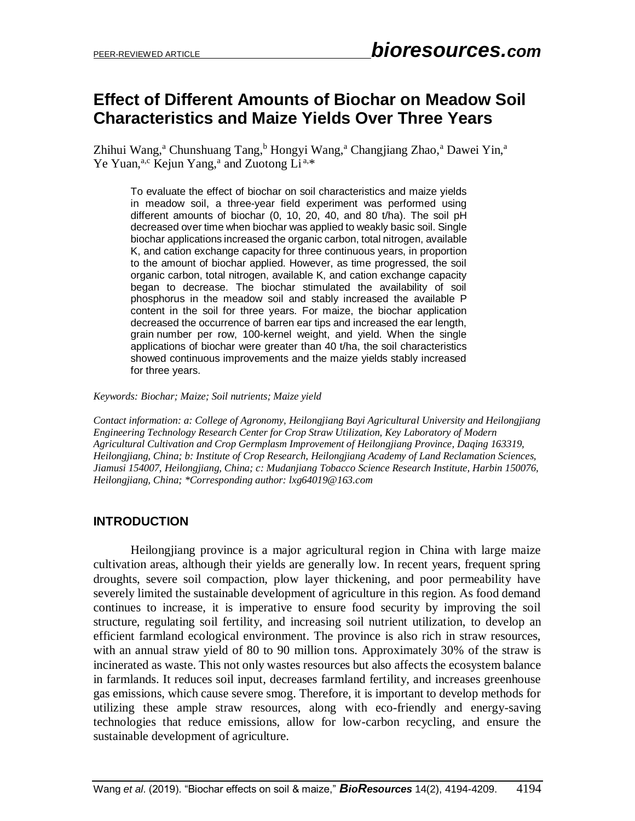# **Effect of Different Amounts of Biochar on Meadow Soil Characteristics and Maize Yields Over Three Years**

Zhihui Wang,<sup>a</sup> Chunshuang Tang,<sup>b</sup> Hongyi Wang,<sup>a</sup> Changjiang Zhao,<sup>a</sup> Dawei Yin,<sup>a</sup> Ye Yuan,<sup>a,c</sup> Kejun Yang,<sup>a</sup> and Zuotong Li<sup>a,\*</sup>

To evaluate the effect of biochar on soil characteristics and maize yields in meadow soil, a three-year field experiment was performed using different amounts of biochar (0, 10, 20, 40, and 80 t/ha). The soil pH decreased over time when biochar was applied to weakly basic soil. Single biochar applications increased the organic carbon, total nitrogen, available K, and cation exchange capacity for three continuous years, in proportion to the amount of biochar applied. However, as time progressed, the soil organic carbon, total nitrogen, available K, and cation exchange capacity began to decrease. The biochar stimulated the availability of soil phosphorus in the meadow soil and stably increased the available P content in the soil for three years. For maize, the biochar application decreased the occurrence of barren ear tips and increased the ear length, grain number per row, 100-kernel weight, and yield. When the single applications of biochar were greater than 40 t/ha, the soil characteristics showed continuous improvements and the maize yields stably increased for three years.

#### *Keywords: Biochar; Maize; Soil nutrients; Maize yield*

*Contact information: a: College of Agronomy, Heilongjiang Bayi Agricultural University and Heilongjiang Engineering Technology Research Center for Crop Straw Utilization, Key Laboratory of Modern Agricultural Cultivation and Crop Germplasm Improvement of Heilongjiang Province, Daqing 163319, Heilongjiang, China; b: Institute of Crop Research, Heilongjiang Academy of Land Reclamation Sciences, Jiamusi 154007, Heilongjiang, China; c: Mudanjiang Tobacco Science Research Institute, Harbin 150076, Heilongjiang, China; \*Corresponding author: lxg64019@163.com*

## **INTRODUCTION**

Heilongjiang province is a major agricultural region in China with large maize cultivation areas, although their yields are generally low. In recent years, frequent spring droughts, severe soil compaction, plow layer thickening, and poor permeability have severely limited the sustainable development of agriculture in this region. As food demand continues to increase, it is imperative to ensure food security by improving the soil structure, regulating soil fertility, and increasing soil nutrient utilization, to develop an efficient farmland ecological environment. The province is also rich in straw resources, with an annual straw yield of 80 to 90 million tons. Approximately 30% of the straw is incinerated as waste. This not only wastes resources but also affects the ecosystem balance in farmlands. It reduces soil input, decreases farmland fertility, and increases greenhouse gas emissions, which cause severe smog. Therefore, it is important to develop methods for utilizing these ample straw resources, along with eco-friendly and energy-saving technologies that reduce emissions, allow for low-carbon recycling, and ensure the sustainable development of agriculture.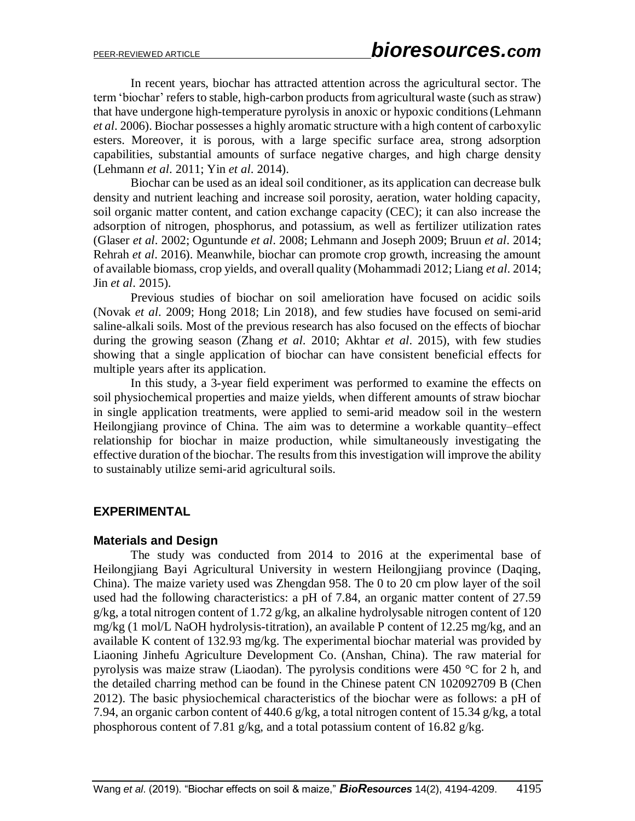In recent years, biochar has attracted attention across the agricultural sector. The term 'biochar' refers to stable, high-carbon products from agricultural waste (such as straw) that have undergone high-temperature pyrolysis in anoxic or hypoxic conditions(Lehmann *et al*. 2006). Biochar possesses a highly aromatic structure with a high content of carboxylic esters. Moreover, it is porous, with a large specific surface area, strong adsorption capabilities, substantial amounts of surface negative charges, and high charge density (Lehmann *et al*. 2011; Yin *et al*. 2014).

Biochar can be used as an ideal soil conditioner, as its application can decrease bulk density and nutrient leaching and increase soil porosity, aeration, water holding capacity, soil organic matter content, and cation exchange capacity (CEC); it can also increase the adsorption of nitrogen, phosphorus, and potassium, as well as fertilizer utilization rates (Glaser *et al*. 2002; Oguntunde *et al*. 2008; Lehmann and Joseph 2009; Bruun *et al*. 2014; Rehrah *et al*. 2016). Meanwhile, biochar can promote crop growth, increasing the amount of available biomass, crop yields, and overall quality (Mohammadi 2012; Liang *et al*. 2014; Jin *et al*. 2015).

Previous studies of biochar on soil amelioration have focused on acidic soils (Novak *et al*. 2009; Hong 2018; Lin 2018), and few studies have focused on semi-arid saline-alkali soils. Most of the previous research has also focused on the effects of biochar during the growing season (Zhang *et al*. 2010; Akhtar *et al*. 2015), with few studies showing that a single application of biochar can have consistent beneficial effects for multiple years after its application.

In this study, a 3-year field experiment was performed to examine the effects on soil physiochemical properties and maize yields, when different amounts of straw biochar in single application treatments, were applied to semi-arid meadow soil in the western Heilongjiang province of China. The aim was to determine a workable quantity–effect relationship for biochar in maize production, while simultaneously investigating the effective duration of the biochar. The results from this investigation will improve the ability to sustainably utilize semi-arid agricultural soils.

## **EXPERIMENTAL**

## **Materials and Design**

The study was conducted from 2014 to 2016 at the experimental base of Heilongjiang Bayi Agricultural University in western Heilongjiang province (Daqing, China). The maize variety used was Zhengdan 958. The 0 to 20 cm plow layer of the soil used had the following characteristics: a pH of 7.84, an organic matter content of 27.59 g/kg, a total nitrogen content of 1.72 g/kg, an alkaline hydrolysable nitrogen content of 120 mg/kg (1 mol/L NaOH hydrolysis-titration), an available P content of 12.25 mg/kg, and an available K content of 132.93 mg/kg. The experimental biochar material was provided by Liaoning Jinhefu Agriculture Development Co. (Anshan, China). The raw material for pyrolysis was maize straw (Liaodan). The pyrolysis conditions were 450 °C for 2 h, and the detailed charring method can be found in the Chinese patent CN 102092709 B (Chen 2012). The basic physiochemical characteristics of the biochar were as follows: a pH of 7.94, an organic carbon content of 440.6 g/kg, a total nitrogen content of 15.34 g/kg, a total phosphorous content of 7.81 g/kg, and a total potassium content of 16.82 g/kg.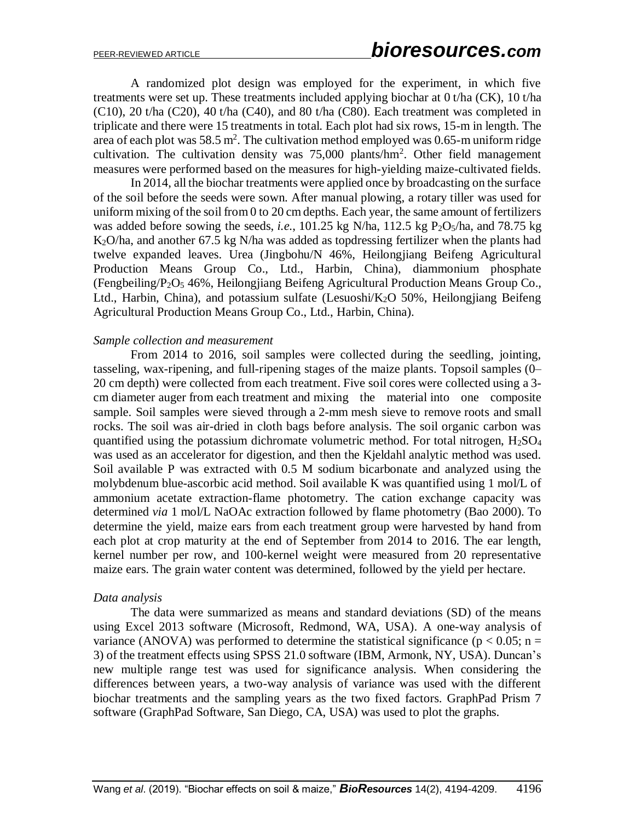A randomized plot design was employed for the experiment, in which five treatments were set up. These treatments included applying biochar at 0 t/ha (CK), 10 t/ha (C10), 20 t/ha (C20), 40 t/ha (C40), and 80 t/ha (C80). Each treatment was completed in triplicate and there were 15 treatments in total. Each plot had six rows, 15-m in length. The area of each plot was 58.5 m<sup>2</sup>. The cultivation method employed was 0.65-m uniform ridge cultivation. The cultivation density was  $75,000$  plants/hm<sup>2</sup>. Other field management measures were performed based on the measures for high-yielding maize-cultivated fields.

In 2014, all the biochar treatments were applied once by broadcasting on the surface of the soil before the seeds were sown. After manual plowing, a rotary tiller was used for uniform mixing of the soil from 0 to 20 cm depths. Each year, the same amount of fertilizers was added before sowing the seeds, *i.e.*, 101.25 kg N/ha, 112.5 kg  $P_2O_5/ha$ , and 78.75 kg K2O/ha, and another 67.5 kg N/ha was added as topdressing fertilizer when the plants had twelve expanded leaves. Urea (Jingbohu/N 46%, Heilongjiang Beifeng Agricultural Production Means Group Co., Ltd., Harbin, China), diammonium phosphate (Fengbeiling/P2O<sup>5</sup> 46%, Heilongjiang Beifeng Agricultural Production Means Group Co., Ltd., Harbin, China), and potassium sulfate (Lesuoshi/K<sub>2</sub>O 50%, Heilongiiang Beifeng Agricultural Production Means Group Co., Ltd., Harbin, China).

#### *Sample collection and measurement*

From 2014 to 2016, soil samples were collected during the seedling, jointing, tasseling, wax-ripening, and full-ripening stages of the maize plants. Topsoil samples (0– 20 cm depth) were collected from each treatment. Five soil cores were collected using a 3 cm diameter auger from each treatment and mixing the material into one composite sample. Soil samples were sieved through a 2-mm mesh sieve to remove roots and small rocks. The soil was air-dried in cloth bags before analysis. The soil organic carbon was quantified using the potassium dichromate volumetric method. For total nitrogen,  $H_2SO_4$ was used as an accelerator for digestion, and then the Kjeldahl analytic method was used. Soil available P was extracted with 0.5 M sodium bicarbonate and analyzed using the molybdenum blue-ascorbic acid method. Soil available K was quantified using 1 mol/L of ammonium acetate extraction-flame photometry. The cation exchange capacity was determined *via* 1 mol/L NaOAc extraction followed by flame photometry (Bao 2000). To determine the yield, maize ears from each treatment group were harvested by hand from each plot at crop maturity at the end of September from 2014 to 2016. The ear length, kernel number per row, and 100-kernel weight were measured from 20 representative maize ears. The grain water content was determined, followed by the yield per hectare.

#### *Data analysis*

The data were summarized as means and standard deviations (SD) of the means using Excel 2013 software (Microsoft, Redmond, WA, USA). A one-way analysis of variance (ANOVA) was performed to determine the statistical significance ( $p < 0.05$ ; n = 3) of the treatment effects using SPSS 21.0 software (IBM, Armonk, NY, USA). Duncan's new multiple range test was used for significance analysis. When considering the differences between years, a two-way analysis of variance was used with the different biochar treatments and the sampling years as the two fixed factors. GraphPad Prism 7 software (GraphPad Software, San Diego, CA, USA) was used to plot the graphs.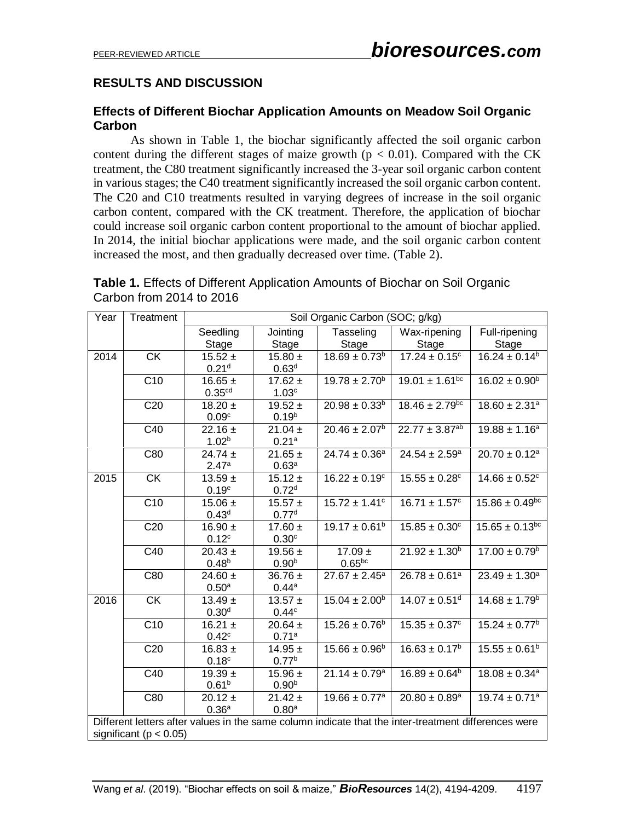# **RESULTS AND DISCUSSION**

## **Effects of Different Biochar Application Amounts on Meadow Soil Organic Carbon**

As shown in Table 1, the biochar significantly affected the soil organic carbon content during the different stages of maize growth ( $p < 0.01$ ). Compared with the CK treatment, the C80 treatment significantly increased the 3-year soil organic carbon content in various stages; the C40 treatment significantly increased the soil organic carbon content. The C20 and C10 treatments resulted in varying degrees of increase in the soil organic carbon content, compared with the CK treatment. Therefore, the application of biochar could increase soil organic carbon content proportional to the amount of biochar applied. In 2014, the initial biochar applications were made, and the soil organic carbon content increased the most, and then gradually decreased over time. (Table 2).

| <b>Table 1.</b> Effects of Different Application Amounts of Biochar on Soil Organic |  |
|-------------------------------------------------------------------------------------|--|
| Carbon from 2014 to 2016                                                            |  |

| Year                                                                                                 | Treatment                  | Soil Organic Carbon (SOC; g/kg) |                   |                               |                                     |                                |  |  |
|------------------------------------------------------------------------------------------------------|----------------------------|---------------------------------|-------------------|-------------------------------|-------------------------------------|--------------------------------|--|--|
|                                                                                                      |                            | Seedling                        | Jointing          | Tasseling                     | Wax-ripening                        | Full-ripening                  |  |  |
|                                                                                                      |                            | Stage                           | <b>Stage</b>      | <b>Stage</b>                  | Stage                               | Stage                          |  |  |
| 2014                                                                                                 | <b>CK</b>                  | $15.52 \pm$                     | $15.80 \pm$       | $18.69 \pm 0.73^b$            | $17.\overline{24 \pm 0.15^{\circ}}$ | $16.24 \pm 0.14^b$             |  |  |
|                                                                                                      |                            | 0.21 <sup>d</sup>               | 0.63 <sup>d</sup> |                               |                                     |                                |  |  |
|                                                                                                      | C10                        | $16.65 \pm$                     | $17.62 \pm$       | $19.78 \pm 2.70^{\circ}$      | $19.01 \pm 1.61^{bc}$               | $16.02 \pm 0.90^{\circ}$       |  |  |
|                                                                                                      |                            | 0.35 <sup>cd</sup>              | 1.03 <sup>c</sup> |                               |                                     |                                |  |  |
|                                                                                                      | C20                        | $18.20 \pm$                     | $19.52 \pm$       | $20.98 \pm 0.33^b$            | $18.46 \pm 2.79$ <sup>bc</sup>      | $18.60 \pm 2.31$ <sup>a</sup>  |  |  |
|                                                                                                      |                            | 0.09 <sup>c</sup>               | 0.19 <sup>b</sup> |                               |                                     |                                |  |  |
|                                                                                                      | C40                        | $22.16 \pm$                     | $21.04 \pm$       | $20.46 \pm 2.07^b$            | $22.77 \pm 3.87^{ab}$               | $19.88 \pm 1.16^a$             |  |  |
|                                                                                                      |                            | 1.02 <sup>b</sup>               | 0.21a             |                               |                                     |                                |  |  |
|                                                                                                      | C80                        | $24.74 \pm$                     | $21.65 \pm$       | $24.74 \pm 0.36^a$            | $24.54 \pm 2.59^a$                  | $20.70 \pm 0.12$ <sup>a</sup>  |  |  |
|                                                                                                      |                            | 2.47a                           | 0.63 <sup>a</sup> |                               |                                     |                                |  |  |
| 2015                                                                                                 | <b>CK</b>                  | $13.59 \pm$                     | $15.12 \pm$       | $16.22 \pm 0.19^c$            | $15.55 \pm 0.28$ <sup>c</sup>       | $14.66 \pm 0.52$ <sup>c</sup>  |  |  |
|                                                                                                      |                            | 0.19 <sup>e</sup>               | 0.72 <sup>d</sup> |                               |                                     |                                |  |  |
|                                                                                                      | C10                        | $15.06 \pm$                     | $15.57 +$         | $15.72 \pm 1.41$ <sup>c</sup> | $16.71 \pm 1.57$ <sup>c</sup>       | $15.86 \pm 0.49$ <sup>bc</sup> |  |  |
|                                                                                                      |                            | 0.43 <sup>d</sup>               | 0.77 <sup>d</sup> |                               |                                     |                                |  |  |
|                                                                                                      | C20                        | $16.90 \pm$                     | $17.60 \pm$       | $19.17 \pm 0.61^b$            | $15.85 \pm 0.30^{\circ}$            | $15.65 \pm 0.13^{bc}$          |  |  |
|                                                                                                      |                            | 0.12 <sup>c</sup>               | 0.30 <sup>c</sup> |                               |                                     |                                |  |  |
|                                                                                                      | C40                        | $20.43 \pm$                     | $19.56 \pm$       | $17.09 \pm$                   | $21.92 \pm 1.30^b$                  | $17.00 \pm 0.79^{\circ}$       |  |  |
|                                                                                                      |                            | $0.48^{b}$                      | 0.90 <sup>b</sup> | $0.65^{bc}$                   |                                     |                                |  |  |
|                                                                                                      | C80                        | 24.60 $\pm$                     | $36.76 \pm$       | $27.67 \pm 2.45^a$            | $26.78 \pm 0.61^a$                  | $23.49 \pm 1.30^a$             |  |  |
|                                                                                                      |                            | $0.50^{\rm a}$                  | 0.44a             |                               |                                     |                                |  |  |
| 2016                                                                                                 | $\overline{CK}$            | $13.49 \pm$                     | $13.57 \pm$       | $15.04 \pm 2.00^b$            | $14.07 \pm 0.51$ <sup>d</sup>       | $14.68 \pm 1.79^b$             |  |  |
|                                                                                                      |                            | 0.30 <sup>d</sup>               | 0.44c             |                               |                                     |                                |  |  |
|                                                                                                      | C <sub>10</sub>            | $16.21 \pm$                     | $20.64 \pm$       | $15.26 \pm 0.76^b$            | $15.35 \pm 0.37$ <sup>c</sup>       | $15.24 \pm 0.77$ <sup>b</sup>  |  |  |
|                                                                                                      |                            | 0.42 <sup>c</sup>               | 0.71a             |                               |                                     |                                |  |  |
|                                                                                                      | C <sub>20</sub>            | $16.83 \pm$                     | $14.95 \pm$       | $15.66 \pm 0.96^b$            | $16.63 \pm 0.17^b$                  | $15.55 \pm 0.61^{\rm b}$       |  |  |
|                                                                                                      |                            | 0.18 <sup>c</sup>               | 0.77 <sup>b</sup> |                               |                                     |                                |  |  |
|                                                                                                      | C40                        | $19.39 \pm$                     | $15.96 \pm$       | $21.14 \pm 0.79$ <sup>a</sup> | $16.89 \pm 0.64^b$                  | $18.08 \pm 0.34$ <sup>a</sup>  |  |  |
|                                                                                                      |                            | 0.61 <sup>b</sup>               | 0.90 <sup>b</sup> |                               |                                     |                                |  |  |
|                                                                                                      | C80                        | $20.12 \pm$                     | $21.42 \pm$       | $19.66 \pm 0.77$ <sup>a</sup> | $20.80 \pm 0.89^a$                  | $19.74 \pm 0.71$ <sup>a</sup>  |  |  |
|                                                                                                      |                            | 0.36 <sup>a</sup>               | 0.80 <sup>a</sup> |                               |                                     |                                |  |  |
| Different letters after values in the same column indicate that the inter-treatment differences were |                            |                                 |                   |                               |                                     |                                |  |  |
|                                                                                                      | significant ( $p < 0.05$ ) |                                 |                   |                               |                                     |                                |  |  |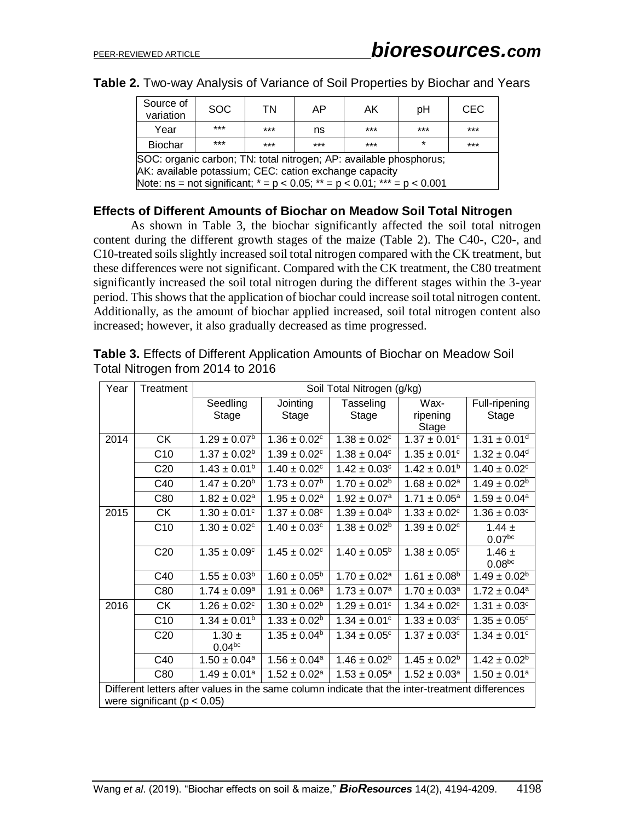| Source of<br>variation                                                                                                                                                                                          | SOC.  | ΤN    | AP    | AK.   | рH      | <b>CEC</b> |  |
|-----------------------------------------------------------------------------------------------------------------------------------------------------------------------------------------------------------------|-------|-------|-------|-------|---------|------------|--|
| Year                                                                                                                                                                                                            | $***$ | $***$ | ns    | $***$ | $***$   | $***$      |  |
| <b>Biochar</b>                                                                                                                                                                                                  | $***$ | $***$ | $***$ | $***$ | $\star$ | $***$      |  |
| SOC: organic carbon; TN: total nitrogen; AP: available phosphorus;<br>AK: available potassium; CEC: cation exchange capacity<br>Note: ns = not significant; $* = p < 0.05$ ; $* = p < 0.01$ ; $* * = p < 0.001$ |       |       |       |       |         |            |  |
|                                                                                                                                                                                                                 |       |       |       |       |         |            |  |

## **Effects of Different Amounts of Biochar on Meadow Soil Total Nitrogen**

As shown in Table 3, the biochar significantly affected the soil total nitrogen content during the different growth stages of the maize (Table 2). The C40-, C20-, and C10-treated soils slightly increased soil total nitrogen compared with the CK treatment, but these differences were not significant. Compared with the CK treatment, the C80 treatment significantly increased the soil total nitrogen during the different stages within the 3-year period. This shows that the application of biochar could increase soil total nitrogen content. Additionally, as the amount of biochar applied increased, soil total nitrogen content also increased; however, it also gradually decreased as time progressed.

| Year                                                                                            | Treatment       | Soil Total Nitrogen (g/kg)       |                              |                              |                              |                                  |  |
|-------------------------------------------------------------------------------------------------|-----------------|----------------------------------|------------------------------|------------------------------|------------------------------|----------------------------------|--|
|                                                                                                 |                 | Seedling                         | Jointing                     | Tasseling                    | Wax-                         | Full-ripening                    |  |
|                                                                                                 |                 | Stage                            | Stage                        | Stage                        | ripening<br>Stage            | Stage                            |  |
| 2014                                                                                            | <b>CK</b>       | $1.29 \pm 0.07^{\rm b}$          | $1.36 \pm 0.02$ <sup>c</sup> | $1.38 \pm 0.02$ <sup>c</sup> | $1.37 \pm 0.01$ <sup>c</sup> | $1.31 \pm 0.01$ <sup>d</sup>     |  |
|                                                                                                 | C10             | $1.37 \pm 0.02^b$                | $1.39 \pm 0.02$ <sup>c</sup> | $1.38 \pm 0.04^c$            | $1.35 \pm 0.01$ <sup>c</sup> | $1.32 \pm 0.04$ <sup>d</sup>     |  |
|                                                                                                 | C <sub>20</sub> | $1.43 \pm 0.01^b$                | $1.40 \pm 0.02$ <sup>c</sup> | $1.42 \pm 0.03$ <sup>c</sup> | $1.42 \pm 0.01^b$            | $1.40 \pm 0.02$ <sup>c</sup>     |  |
|                                                                                                 | C40             | $1.47 \pm 0.20^{\rm b}$          | $1.73 \pm 0.07^b$            | $1.70 \pm 0.02^b$            | $1.68 \pm 0.02^a$            | $1.49 \pm 0.02^b$                |  |
|                                                                                                 | C80             | $1.82 \pm 0.02^a$                | $1.95 \pm 0.02^a$            | $1.92 \pm 0.07$ <sup>a</sup> | $1.71 \pm 0.05^{\text{a}}$   | $1.59 \pm 0.04^a$                |  |
| 2015                                                                                            | <b>CK</b>       | $1.30 \pm 0.01$ <sup>c</sup>     | $1.37 \pm 0.08$ <sup>c</sup> | $1.39 \pm 0.04^b$            | $1.33 \pm 0.02$ <sup>c</sup> | $1.36 \pm 0.03$ <sup>c</sup>     |  |
|                                                                                                 | C10             | $1.30 \pm 0.02$ <sup>c</sup>     | $1.40 \pm 0.03$ <sup>c</sup> | $1.38 \pm 0.02^b$            | $1.39 \pm 0.02$ <sup>c</sup> | 1.44 $\pm$<br>0.07 <sup>bc</sup> |  |
|                                                                                                 | C <sub>20</sub> | $1.35 \pm 0.09^{\circ}$          | $1.45 \pm 0.02$ <sup>c</sup> | $1.40 \pm 0.05^{\circ}$      | $1.38 \pm 0.05$ <sup>c</sup> | 1.46 $\pm$<br>0.08 <sub>pc</sub> |  |
|                                                                                                 | C40             | $1.55 \pm 0.03^b$                | $1.60 \pm 0.05^{\circ}$      | $1.70 \pm 0.02$ <sup>a</sup> | $1.61 \pm 0.08^b$            | $1.49 \pm 0.02^b$                |  |
|                                                                                                 | C80             | $1.74 \pm 0.09^a$                | $1.91 \pm 0.06^a$            | $1.73 \pm 0.07^a$            | $1.70 \pm 0.03^a$            | $1.72 \pm 0.04^a$                |  |
| 2016                                                                                            | <b>CK</b>       | $1.26 \pm 0.02$ <sup>c</sup>     | $1.30 \pm 0.02^b$            | $1.29 \pm 0.01$ <sup>c</sup> | $1.34 \pm 0.02$ <sup>c</sup> | $1.31 \pm 0.03$ <sup>c</sup>     |  |
|                                                                                                 | C10             | $1.34 \pm 0.01^b$                | $1.33 \pm 0.02^b$            | $1.34 \pm 0.01$ <sup>c</sup> | $1.33 \pm 0.03$ <sup>c</sup> | $1.35 \pm 0.05^{\circ}$          |  |
|                                                                                                 | C <sub>20</sub> | $1.30 \pm$<br>0.04 <sup>bc</sup> | $1.35 \pm 0.04^b$            | $1.34 \pm 0.05^{\circ}$      | $1.37 \pm 0.03$ <sup>c</sup> | $1.34 \pm 0.01$ <sup>c</sup>     |  |
|                                                                                                 | C40             | $1.50 \pm 0.04$ <sup>a</sup>     | $1.56 \pm 0.04$ <sup>a</sup> | $1.46 \pm 0.02^b$            | $1.45 \pm 0.02^b$            | $1.42 \pm 0.02^b$                |  |
|                                                                                                 | C80             | $1.49 \pm 0.01^a$                | $1.52 \pm 0.02^a$            | $1.53 \pm 0.05^a$            | $1.52 \pm 0.03^a$            | $1.50 \pm 0.01^a$                |  |
| Different letters after values in the same column indicate that the inter-treatment differences |                 |                                  |                              |                              |                              |                                  |  |
| were significant ( $p < 0.05$ )                                                                 |                 |                                  |                              |                              |                              |                                  |  |

**Table 3.** Effects of Different Application Amounts of Biochar on Meadow Soil Total Nitrogen from 2014 to 2016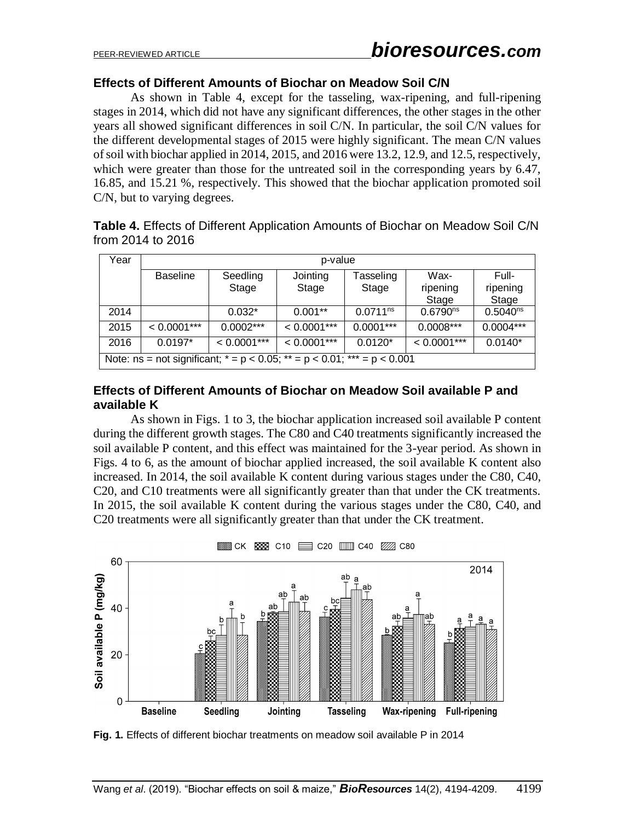## **Effects of Different Amounts of Biochar on Meadow Soil C/N**

As shown in Table 4, except for the tasseling, wax-ripening, and full-ripening stages in 2014, which did not have any significant differences, the other stages in the other years all showed significant differences in soil C/N. In particular, the soil C/N values for the different developmental stages of 2015 were highly significant. The mean C/N values of soil with biochar applied in 2014, 2015, and 2016 were 13.2, 12.9, and 12.5, respectively, which were greater than those for the untreated soil in the corresponding years by 6.47, 16.85, and 15.21 %, respectively. This showed that the biochar application promoted soil C/N, but to varying degrees.

**Table 4.** Effects of Different Application Amounts of Biochar on Meadow Soil C/N from 2014 to 2016

| Year                                                                       | p-value                                                               |               |               |               |               |               |  |
|----------------------------------------------------------------------------|-----------------------------------------------------------------------|---------------|---------------|---------------|---------------|---------------|--|
|                                                                            | Wax-<br>Full-<br>Jointing<br><b>Baseline</b><br>Seedling<br>Tasseling |               |               |               |               |               |  |
|                                                                            |                                                                       | Stage         | Stage         | Stage         | ripening      | ripening      |  |
|                                                                            |                                                                       |               |               |               | Stage         | Stage         |  |
| 2014                                                                       |                                                                       | $0.032*$      | $0.001**$     | $0.0711^{ns}$ | $0.6790^{ns}$ | $0.5040^{ns}$ |  |
| 2015                                                                       | $< 0.0001***$                                                         | $0.0002***$   | $< 0.0001***$ | $0.0001***$   | $0.0008***$   | $0.0004***$   |  |
| 2016                                                                       | $0.0197*$                                                             | $< 0.0001***$ | $< 0.0001***$ | $0.0120*$     | $< 0.0001***$ | $0.0140*$     |  |
| Note: $ns = not significant; * = p < 0.05; ** = p < 0.01; *** = p < 0.001$ |                                                                       |               |               |               |               |               |  |

## **Effects of Different Amounts of Biochar on Meadow Soil available P and available K**

As shown in Figs. 1 to 3, the biochar application increased soil available P content during the different growth stages. The C80 and C40 treatments significantly increased the soil available P content, and this effect was maintained for the 3-year period. As shown in Figs. 4 to 6, as the amount of biochar applied increased, the soil available K content also increased. In 2014, the soil available K content during various stages under the C80, C40, C20, and C10 treatments were all significantly greater than that under the CK treatments. In 2015, the soil available K content during the various stages under the C80, C40, and C20 treatments were all significantly greater than that under the CK treatment.



**Fig. 1.** Effects of different biochar treatments on meadow soil available P in 2014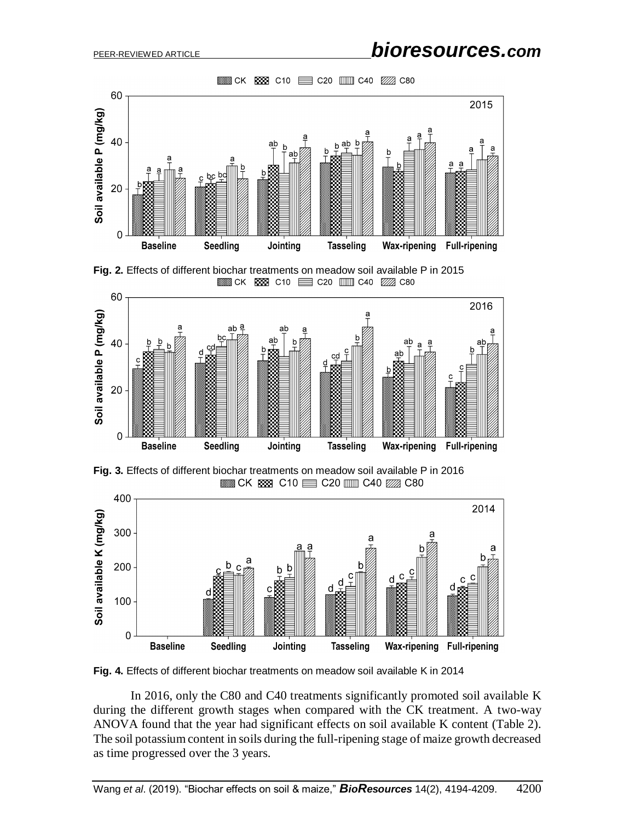





**Fig. 3.** Effects of different biochar treatments on meadow soil available P in 2016  $\equiv$  CK  $\equiv$  C10  $\equiv$  C20  $\equiv$  C40  $\mathbb{Z}$  C80



**Fig. 4.** Effects of different biochar treatments on meadow soil available K in 2014

In 2016, only the C80 and C40 treatments significantly promoted soil available K during the different growth stages when compared with the CK treatment. A two-way ANOVA found that the year had significant effects on soil available K content (Table 2). The soil potassium content in soils during the full-ripening stage of maize growth decreased as time progressed over the 3 years.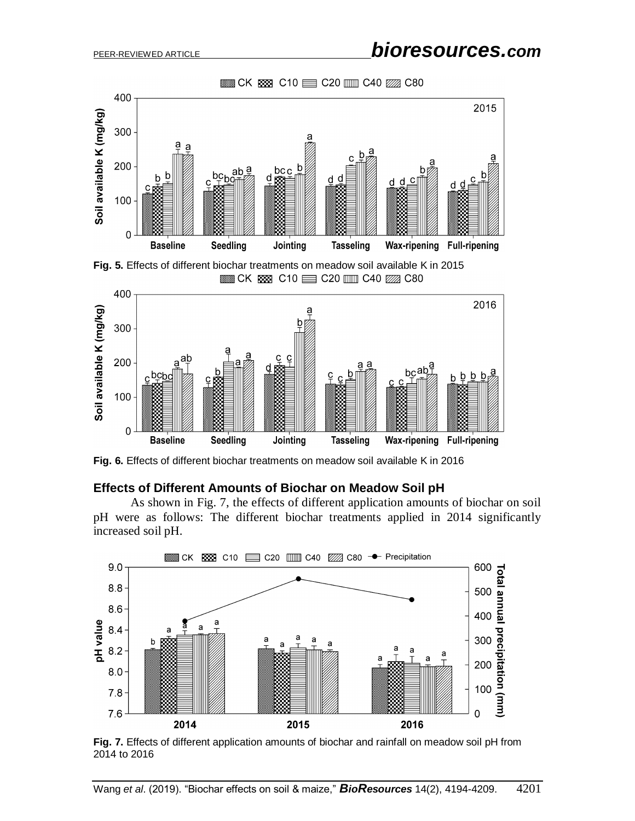$\equiv$  CK  $\equiv$  C10  $\equiv$  C20  $\equiv$  C40  $\mathbb{Z}$  C80



**Fig. 5.** Effects of different biochar treatments on meadow soil available K in 2015  $\equiv$  CK  $\equiv$  C10  $\equiv$  C20  $\equiv$  C40  $\mathbb{Z}$  C80



**Fig. 6.** Effects of different biochar treatments on meadow soil available K in 2016

#### **Effects of Different Amounts of Biochar on Meadow Soil pH**

As shown in Fig. 7, the effects of different application amounts of biochar on soil pH were as follows: The different biochar treatments applied in 2014 significantly increased soil pH.



**Fig. 7.** Effects of different application amounts of biochar and rainfall on meadow soil pH from 2014 to 2016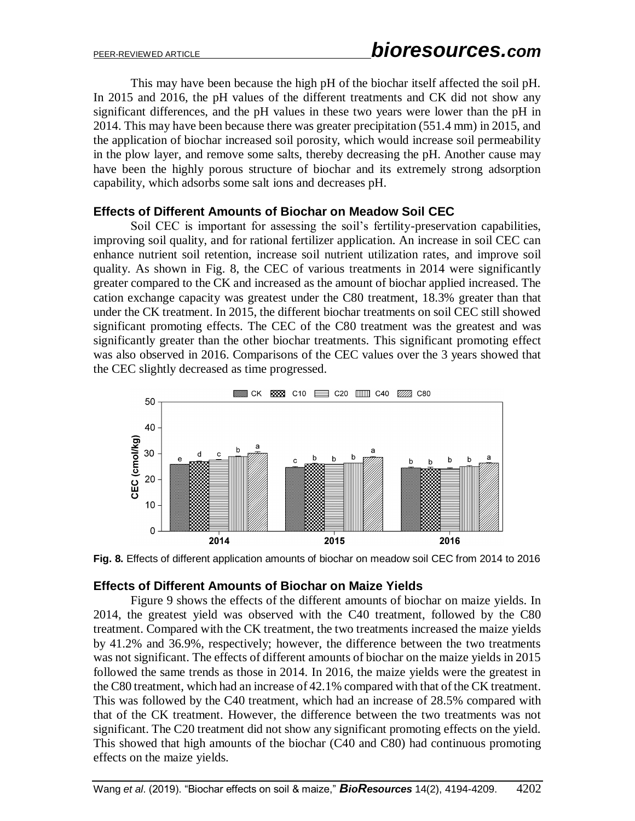This may have been because the high pH of the biochar itself affected the soil pH. In 2015 and 2016, the pH values of the different treatments and CK did not show any significant differences, and the pH values in these two years were lower than the pH in 2014. This may have been because there was greater precipitation (551.4 mm) in 2015, and the application of biochar increased soil porosity, which would increase soil permeability in the plow layer, and remove some salts, thereby decreasing the pH. Another cause may have been the highly porous structure of biochar and its extremely strong adsorption capability, which adsorbs some salt ions and decreases pH.

## **Effects of Different Amounts of Biochar on Meadow Soil CEC**

Soil CEC is important for assessing the soil's fertility-preservation capabilities, improving soil quality, and for rational fertilizer application. An increase in soil CEC can enhance nutrient soil retention, increase soil nutrient utilization rates, and improve soil quality. As shown in Fig. 8, the CEC of various treatments in 2014 were significantly greater compared to the CK and increased as the amount of biochar applied increased. The cation exchange capacity was greatest under the C80 treatment, 18.3% greater than that under the CK treatment. In 2015, the different biochar treatments on soil CEC still showed significant promoting effects. The CEC of the C80 treatment was the greatest and was significantly greater than the other biochar treatments. This significant promoting effect was also observed in 2016. Comparisons of the CEC values over the 3 years showed that the CEC slightly decreased as time progressed.



**Fig. 8.** Effects of different application amounts of biochar on meadow soil CEC from 2014 to 2016

## **Effects of Different Amounts of Biochar on Maize Yields**

Figure 9 shows the effects of the different amounts of biochar on maize yields. In 2014, the greatest yield was observed with the C40 treatment, followed by the C80 treatment. Compared with the CK treatment, the two treatments increased the maize yields by 41.2% and 36.9%, respectively; however, the difference between the two treatments was not significant. The effects of different amounts of biochar on the maize yields in 2015 followed the same trends as those in 2014. In 2016, the maize yields were the greatest in the C80 treatment, which had an increase of 42.1% compared with that of the CK treatment. This was followed by the C40 treatment, which had an increase of 28.5% compared with that of the CK treatment. However, the difference between the two treatments was not significant. The C20 treatment did not show any significant promoting effects on the yield. This showed that high amounts of the biochar (C40 and C80) had continuous promoting effects on the maize yields.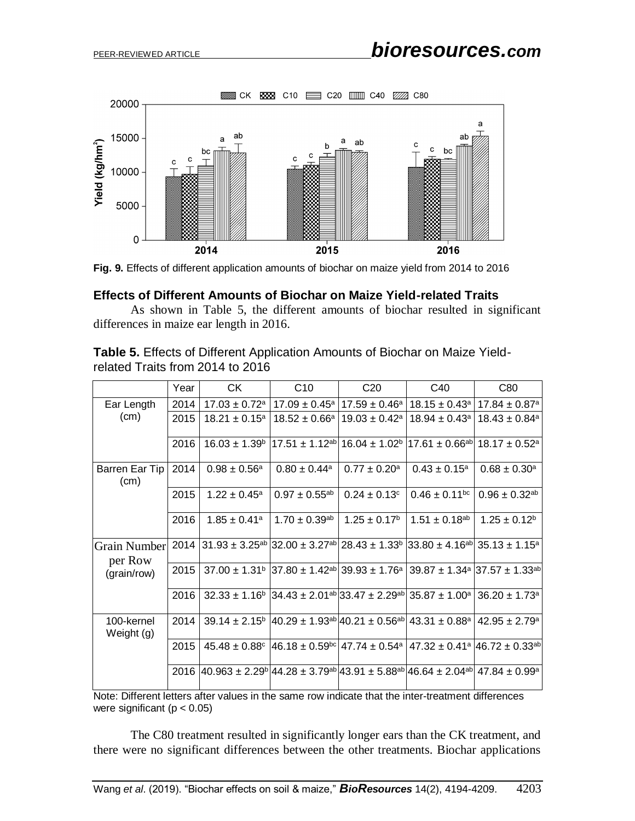

**Fig. 9.** Effects of different application amounts of biochar on maize yield from 2014 to 2016

## **Effects of Different Amounts of Biochar on Maize Yield-related Traits**

As shown in Table 5, the different amounts of biochar resulted in significant differences in maize ear length in 2016.

**Table 5.** Effects of Different Application Amounts of Biochar on Maize Yieldrelated Traits from 2014 to 2016

|                          | Year | <b>CK</b>                                                                                                                                    | C10                                                                                                                                                        | C <sub>20</sub>               | C <sub>40</sub>                                              | C80                                                           |
|--------------------------|------|----------------------------------------------------------------------------------------------------------------------------------------------|------------------------------------------------------------------------------------------------------------------------------------------------------------|-------------------------------|--------------------------------------------------------------|---------------------------------------------------------------|
| Ear Length               | 2014 |                                                                                                                                              | $17.03 \pm 0.72$ <sup>a</sup>   17.09 $\pm$ 0.45 <sup>a</sup>                                                                                              |                               | $17.59 \pm 0.46^a$   $18.15 \pm 0.43^a$   $17.84 \pm 0.87^a$ |                                                               |
| (cm)                     | 2015 | $18.21 \pm 0.15^a$                                                                                                                           | $18.52 \pm 0.66^a$                                                                                                                                         | $19.03 \pm 0.42$ <sup>a</sup> |                                                              | $18.94 \pm 0.43$ <sup>a</sup>   18.43 $\pm 0.84$ <sup>a</sup> |
|                          | 2016 |                                                                                                                                              | $16.03 \pm 1.39^{\circ}$   17.51 $\pm$ 1.12 <sup>ab</sup>   16.04 $\pm$ 1.02 <sup>b</sup>   17.61 $\pm$ 0.66 <sup>ab</sup>   18.17 $\pm$ 0.52 <sup>a</sup> |                               |                                                              |                                                               |
| Barren Ear Tip<br>(cm)   | 2014 | $0.98 \pm 0.56^{\circ}$                                                                                                                      | $0.80 \pm 0.44$ <sup>a</sup>                                                                                                                               | $0.77 \pm 0.20^{\text{a}}$    | $0.43 \pm 0.15^{\text{a}}$                                   | $0.68 \pm 0.30^a$                                             |
|                          | 2015 | $1.22 \pm 0.45^a$                                                                                                                            | $0.97 \pm 0.55^{ab}$                                                                                                                                       | $0.24 \pm 0.13$ °             | $0.46 \pm 0.11^{bc}$                                         | $0.96 \pm 0.32^{ab}$                                          |
|                          | 2016 | $1.85 \pm 0.41$ <sup>a</sup>                                                                                                                 | $1.70 \pm 0.39$ <sup>ab</sup>                                                                                                                              | $1.25 \pm 0.17^{\circ}$       | $1.51 \pm 0.18^{ab}$                                         | $1.25 \pm 0.12^b$                                             |
| Grain Number<br>per Row  |      | $2014$ 31.93 ± 3.25 <sup>ab</sup> 32.00 ± 3.27 <sup>ab</sup> 28.43 ± 1.33 <sup>b</sup> 33.80 ± 4.16 <sup>ab</sup> 35.13 ± 1.15 <sup>a</sup>  |                                                                                                                                                            |                               |                                                              |                                                               |
| (grain/row)              | 2015 |                                                                                                                                              | $37.00 \pm 1.31^{\circ}$ 37.80 $\pm 1.42^{\circ}$ 39.93 $\pm 1.76^{\circ}$ 39.87 $\pm 1.34^{\circ}$ 37.57 $\pm 1.33^{\circ}$                               |                               |                                                              |                                                               |
|                          | 2016 |                                                                                                                                              | $32.33 \pm 1.16^{\circ}$ 34.43 $\pm 2.01^{\circ}$ 33.47 $\pm 2.29^{\circ}$ 35.87 $\pm 1.00^{\circ}$ 36.20 $\pm 1.73^{\circ}$                               |                               |                                                              |                                                               |
| 100-kernel<br>Weight (g) | 2014 |                                                                                                                                              | $39.14 \pm 2.15^{\circ}$ 40.29 $\pm$ 1.93 <sup>ab</sup> 40.21 $\pm$ 0.56 <sup>ab</sup> 43.31 $\pm$ 0.88 <sup>a</sup> 42.95 $\pm$ 2.79 <sup>a</sup>         |                               |                                                              |                                                               |
|                          | 2015 |                                                                                                                                              | $45.48 \pm 0.88$ $ 46.18 \pm 0.59$ $ 47.74 \pm 0.54$ $ 47.32 \pm 0.41$ $ 46.72 \pm 0.33$ ab                                                                |                               |                                                              |                                                               |
|                          |      | $2016$ 40.963 ± 2.29 <sup>b</sup> 44.28 ± 3.79 <sup>ab</sup> 43.91 ± 5.88 <sup>ab</sup> 46.64 ± 2.04 <sup>ab</sup> 47.84 ± 0.99 <sup>a</sup> |                                                                                                                                                            |                               |                                                              |                                                               |

Note: Different letters after values in the same row indicate that the inter-treatment differences were significant ( $p < 0.05$ )

The C80 treatment resulted in significantly longer ears than the CK treatment, and there were no significant differences between the other treatments. Biochar applications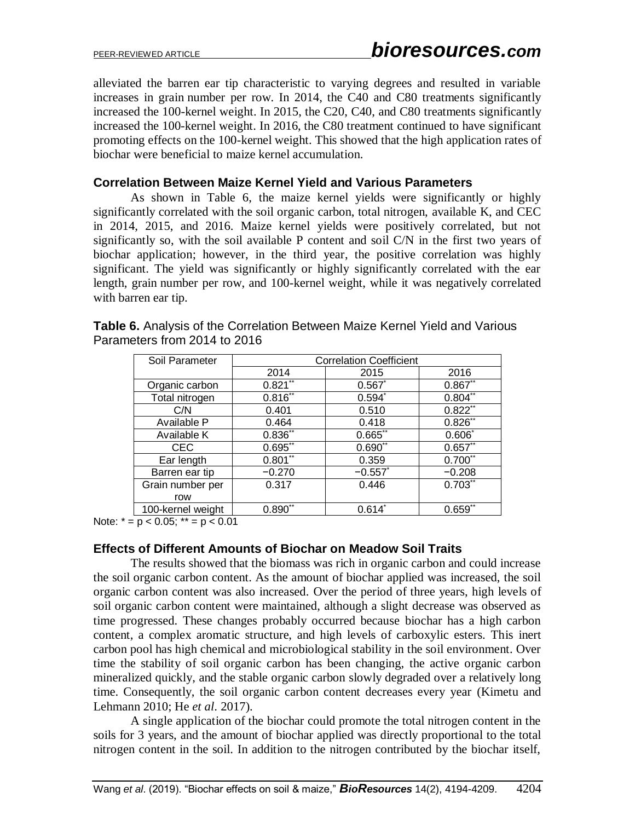alleviated the barren ear tip characteristic to varying degrees and resulted in variable increases in grain number per row. In 2014, the C40 and C80 treatments significantly increased the 100-kernel weight. In 2015, the C20, C40, and C80 treatments significantly increased the 100-kernel weight. In 2016, the C80 treatment continued to have significant promoting effects on the 100-kernel weight. This showed that the high application rates of biochar were beneficial to maize kernel accumulation.

## **Correlation Between Maize Kernel Yield and Various Parameters**

As shown in Table 6, the maize kernel yields were significantly or highly significantly correlated with the soil organic carbon, total nitrogen, available K, and CEC in 2014, 2015, and 2016. Maize kernel yields were positively correlated, but not significantly so, with the soil available P content and soil C/N in the first two years of biochar application; however, in the third year, the positive correlation was highly significant. The yield was significantly or highly significantly correlated with the ear length, grain number per row, and 100-kernel weight, while it was negatively correlated with barren ear tip.

| Soil Parameter    | <b>Correlation Coefficient</b> |             |              |  |  |
|-------------------|--------------------------------|-------------|--------------|--|--|
|                   | 2014                           | 2015        | 2016         |  |  |
| Organic carbon    | $0.821$ **                     | 0.567       | $0.867**$    |  |  |
| Total nitrogen    | $0.816$ **                     | $0.594^{*}$ | $0.804^{**}$ |  |  |
| C/N               | 0.401                          | 0.510       | $0.822$ **   |  |  |
| Available P       | 0.464                          | 0.418       | $0.826$ **   |  |  |
| Available K       | $0.836**$                      | $0.665$ **  | $0.606^*$    |  |  |
| <b>CEC</b>        | $0.695$ **                     | $0.690$ **  | $0.657**$    |  |  |
| Ear length        | $0.801**$                      | 0.359       | $0.700^{11}$ |  |  |
| Barren ear tip    | $-0.270$                       | $-0.557$    | $-0.208$     |  |  |
| Grain number per  | 0.317                          | 0.446       | $0.703$ **   |  |  |
| row               |                                |             |              |  |  |
| 100-kernel weight | $0.890^{17}$                   | $0.614^{*}$ | $0.659^{17}$ |  |  |

**Table 6.** Analysis of the Correlation Between Maize Kernel Yield and Various Parameters from 2014 to 2016

Note:  $* = p < 0.05$ ;  $** = p < 0.01$ 

#### **Effects of Different Amounts of Biochar on Meadow Soil Traits**

The results showed that the biomass was rich in organic carbon and could increase the soil organic carbon content. As the amount of biochar applied was increased, the soil organic carbon content was also increased. Over the period of three years, high levels of soil organic carbon content were maintained, although a slight decrease was observed as time progressed. These changes probably occurred because biochar has a high carbon content, a complex aromatic structure, and high levels of carboxylic esters. This inert carbon pool has high chemical and microbiological stability in the soil environment. Over time the stability of soil organic carbon has been changing, the active organic carbon mineralized quickly, and the stable organic carbon slowly degraded over a relatively long time. Consequently, the soil organic carbon content decreases every year (Kimetu and Lehmann 2010; He *et al*. 2017).

A single application of the biochar could promote the total nitrogen content in the soils for 3 years, and the amount of biochar applied was directly proportional to the total nitrogen content in the soil. In addition to the nitrogen contributed by the biochar itself,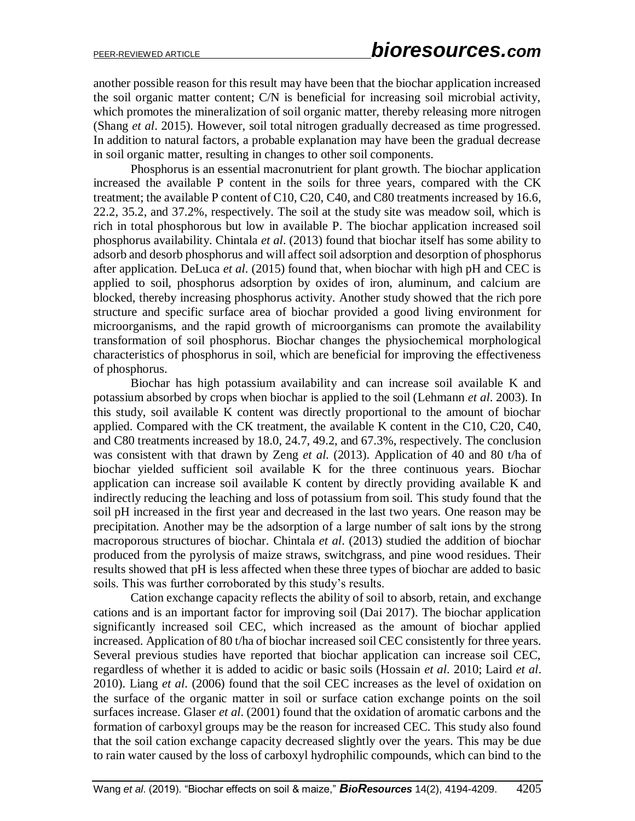another possible reason for this result may have been that the biochar application increased the soil organic matter content; C/N is beneficial for increasing soil microbial activity, which promotes the mineralization of soil organic matter, thereby releasing more nitrogen (Shang *et al*. 2015). However, soil total nitrogen gradually decreased as time progressed. In addition to natural factors, a probable explanation may have been the gradual decrease in soil organic matter, resulting in changes to other soil components.

Phosphorus is an essential macronutrient for plant growth. The biochar application increased the available P content in the soils for three years, compared with the CK treatment; the available P content of C10, C20, C40, and C80 treatments increased by 16.6, 22.2, 35.2, and 37.2%, respectively. The soil at the study site was meadow soil, which is rich in total phosphorous but low in available P. The biochar application increased soil phosphorus availability. Chintala *et al*. (2013) found that biochar itself has some ability to adsorb and desorb phosphorus and will affect soil adsorption and desorption of phosphorus after application. DeLuca *et al*. (2015) found that, when biochar with high pH and CEC is applied to soil, phosphorus adsorption by oxides of iron, aluminum, and calcium are blocked, thereby increasing phosphorus activity. Another study showed that the rich pore structure and specific surface area of biochar provided a good living environment for microorganisms, and the rapid growth of microorganisms can promote the availability transformation of soil phosphorus. Biochar changes the physiochemical morphological characteristics of phosphorus in soil, which are beneficial for improving the effectiveness of phosphorus.

Biochar has high potassium availability and can increase soil available K and potassium absorbed by crops when biochar is applied to the soil (Lehmann *et al*. 2003). In this study, soil available K content was directly proportional to the amount of biochar applied. Compared with the CK treatment, the available K content in the C10, C20, C40, and C80 treatments increased by 18.0, 24.7, 49.2, and 67.3%, respectively. The conclusion was consistent with that drawn by Zeng *et al.* (2013). Application of 40 and 80 t/ha of biochar yielded sufficient soil available K for the three continuous years. Biochar application can increase soil available K content by directly providing available K and indirectly reducing the leaching and loss of potassium from soil. This study found that the soil pH increased in the first year and decreased in the last two years. One reason may be precipitation. Another may be the adsorption of a large number of salt ions by the strong macroporous structures of biochar. Chintala *et al*. (2013) studied the addition of biochar produced from the pyrolysis of maize straws, switchgrass, and pine wood residues. Their results showed that pH is less affected when these three types of biochar are added to basic soils. This was further corroborated by this study's results.

Cation exchange capacity reflects the ability of soil to absorb, retain, and exchange cations and is an important factor for improving soil (Dai 2017). The biochar application significantly increased soil CEC, which increased as the amount of biochar applied increased. Application of 80 t/ha of biochar increased soil CEC consistently for three years. Several previous studies have reported that biochar application can increase soil CEC, regardless of whether it is added to acidic or basic soils (Hossain *et al*. 2010; Laird *et al*. 2010). Liang *et al*. (2006) found that the soil CEC increases as the level of oxidation on the surface of the organic matter in soil or surface cation exchange points on the soil surfaces increase. Glaser *et al*. (2001) found that the oxidation of aromatic carbons and the formation of carboxyl groups may be the reason for increased CEC. This study also found that the soil cation exchange capacity decreased slightly over the years. This may be due to rain water caused by the loss of carboxyl hydrophilic compounds, which can bind to the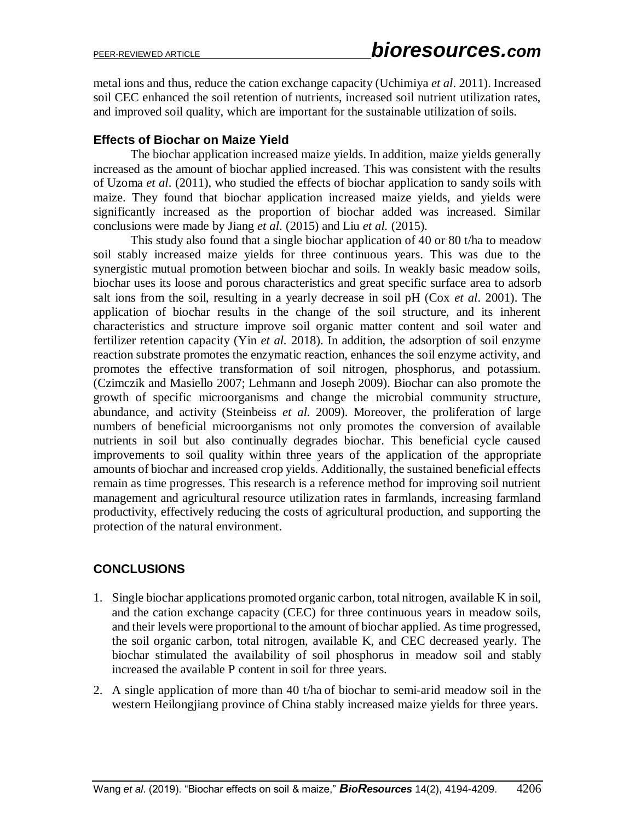metal ions and thus, reduce the cation exchange capacity (Uchimiya *et al*. 2011). Increased soil CEC enhanced the soil retention of nutrients, increased soil nutrient utilization rates, and improved soil quality, which are important for the sustainable utilization of soils.

## **Effects of Biochar on Maize Yield**

The biochar application increased maize yields. In addition, maize yields generally increased as the amount of biochar applied increased. This was consistent with the results of Uzoma *et al*. (2011), who studied the effects of biochar application to sandy soils with maize. They found that biochar application increased maize yields, and yields were significantly increased as the proportion of biochar added was increased. Similar conclusions were made by Jiang *et al*. (2015) and Liu *et al.* (2015).

This study also found that a single biochar application of 40 or 80 t/ha to meadow soil stably increased maize yields for three continuous years. This was due to the synergistic mutual promotion between biochar and soils. In weakly basic meadow soils, biochar uses its loose and porous characteristics and great specific surface area to adsorb salt ions from the soil, resulting in a yearly decrease in soil pH (Cox *et al*. 2001). The application of biochar results in the change of the soil structure, and its inherent characteristics and structure improve soil organic matter content and soil water and fertilizer retention capacity (Yin *et al.* 2018). In addition, the adsorption of soil enzyme reaction substrate promotes the enzymatic reaction, enhances the soil enzyme activity, and promotes the effective transformation of soil nitrogen, phosphorus, and potassium. (Czimczik and Masiello 2007; Lehmann and Joseph 2009). Biochar can also promote the growth of specific microorganisms and change the microbial community structure, abundance, and activity (Steinbeiss *et al*. 2009). Moreover, the proliferation of large numbers of beneficial microorganisms not only promotes the conversion of available nutrients in soil but also continually degrades biochar. This beneficial cycle caused improvements to soil quality within three years of the application of the appropriate amounts of biochar and increased crop yields. Additionally, the sustained beneficial effects remain as time progresses. This research is a reference method for improving soil nutrient management and agricultural resource utilization rates in farmlands, increasing farmland productivity, effectively reducing the costs of agricultural production, and supporting the protection of the natural environment.

# **CONCLUSIONS**

- 1. Single biochar applications promoted organic carbon, total nitrogen, available K in soil, and the cation exchange capacity (CEC) for three continuous years in meadow soils, and their levels were proportional to the amount of biochar applied. As time progressed, the soil organic carbon, total nitrogen, available K, and CEC decreased yearly. The biochar stimulated the availability of soil phosphorus in meadow soil and stably increased the available P content in soil for three years.
- 2. A single application of more than 40 t/ha of biochar to semi-arid meadow soil in the western Heilongjiang province of China stably increased maize yields for three years.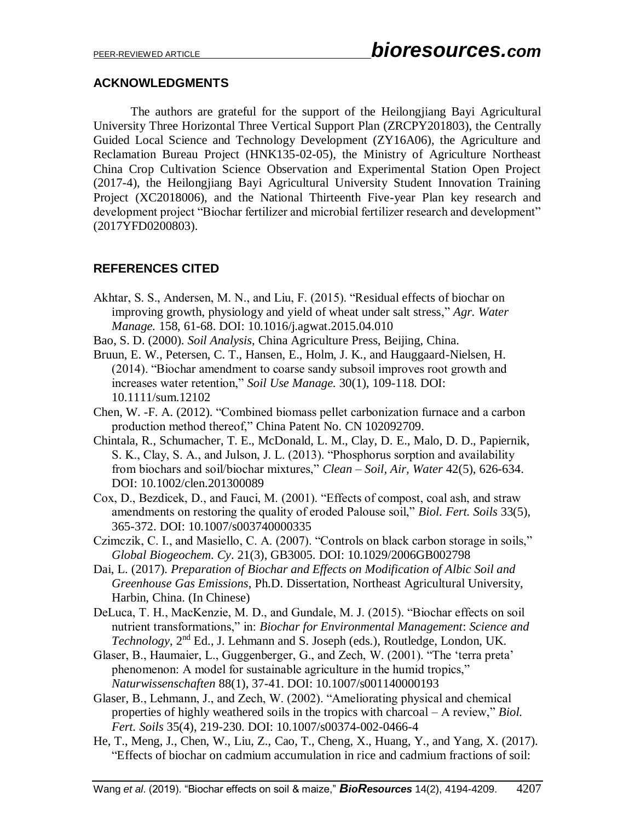## **ACKNOWLEDGMENTS**

The authors are grateful for the support of the Heilongjiang Bayi Agricultural University Three Horizontal Three Vertical Support Plan (ZRCPY201803), the Centrally Guided Local Science and Technology Development (ZY16A06), the Agriculture and Reclamation Bureau Project (HNK135-02-05), the Ministry of Agriculture Northeast China Crop Cultivation Science Observation and Experimental Station Open Project (2017-4), the Heilongjiang Bayi Agricultural University Student Innovation Training Project (XC2018006), and the National Thirteenth Five-year Plan key research and development project "Biochar fertilizer and microbial fertilizer research and development" (2017YFD0200803).

# **REFERENCES CITED**

- Akhtar, S. S., Andersen, M. N., and Liu, F. (2015). "Residual effects of biochar on improving growth, physiology and yield of wheat under salt stress," *Agr. Water Manage.* 158, 61-68. DOI: 10.1016/j.agwat.2015.04.010
- Bao, S. D. (2000). *Soil Analysis*, China Agriculture Press, Beijing, China.
- Bruun, E. W., Petersen, C. T., Hansen, E., Holm, J. K., and Hauggaard-Nielsen, H. (2014). "Biochar amendment to coarse sandy subsoil improves root growth and increases water retention," *Soil Use Manage.* 30(1), 109-118. DOI: 10.1111/sum.12102
- Chen, W. -F. A. (2012). "Combined biomass pellet carbonization furnace and a carbon production method thereof," China Patent No. CN 102092709.
- Chintala, R., Schumacher, T. E., McDonald, L. M., Clay, D. E., Malo, D. D., Papiernik, S. K., Clay, S. A., and Julson, J. L. (2013). "Phosphorus sorption and availability from biochars and soil/biochar mixtures," *Clean – Soil, Air, Water* 42(5), 626-634. DOI: 10.1002/clen.201300089
- Cox, D., Bezdicek, D., and Fauci, M. (2001). "Effects of compost, coal ash, and straw amendments on restoring the quality of eroded Palouse soil," *Biol. Fert. Soils* 33(5), 365-372. DOI: 10.1007/s003740000335
- Czimczik, C. I., and Masiello, C. A. (2007). "Controls on black carbon storage in soils," *Global Biogeochem. Cy*. 21(3), GB3005. DOI: 10.1029/2006GB002798
- Dai, L. (2017). *Preparation of Biochar and Effects on Modification of Albic Soil and Greenhouse Gas Emissions*, Ph.D. Dissertation, Northeast Agricultural University, Harbin, China. (In Chinese)
- DeLuca, T. H., MacKenzie, M. D., and Gundale, M. J. (2015). "Biochar effects on soil nutrient transformations," in: *Biochar for Environmental Management*: *Science and Technology*, 2nd Ed., J. Lehmann and S. Joseph (eds.), Routledge, London, UK.
- Glaser, B., Haumaier, L., Guggenberger, G., and Zech, W. (2001). "The 'terra preta' phenomenon: A model for sustainable agriculture in the humid tropics," *Naturwissenschaften* 88(1), 37-41. DOI: 10.1007/s001140000193
- Glaser, B., Lehmann, J., and Zech, W. (2002). "Ameliorating physical and chemical properties of highly weathered soils in the tropics with charcoal – A review," *Biol. Fert. Soils* 35(4), 219-230. DOI: 10.1007/s00374-002-0466-4
- He, T., Meng, J., Chen, W., Liu, Z., Cao, T., Cheng, X., Huang, Y., and Yang, X. (2017). "Effects of biochar on cadmium accumulation in rice and cadmium fractions of soil: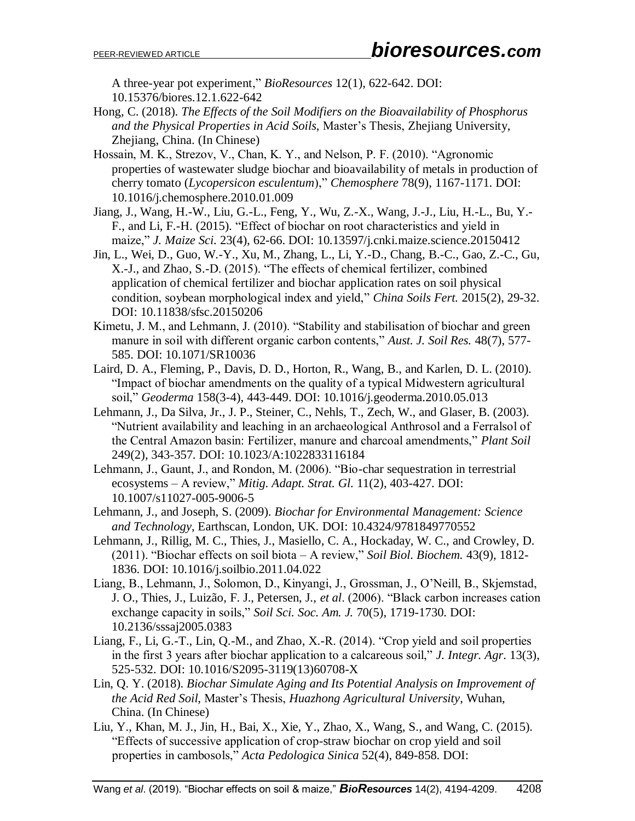A three-year pot experiment," *BioResources* 12(1), 622-642. DOI: 10.15376/biores.12.1.622-642

- Hong, C. (2018). *The Effects of the Soil Modifiers on the Bioavailability of Phosphorus and the Physical Properties in Acid Soils*, Master's Thesis, Zhejiang University, Zhejiang, China. (In Chinese)
- Hossain, M. K., Strezov, V., Chan, K. Y., and Nelson, P. F. (2010). "Agronomic properties of wastewater sludge biochar and bioavailability of metals in production of cherry tomato (*Lycopersicon esculentum*)," *Chemosphere* 78(9), 1167-1171. DOI: 10.1016/j.chemosphere.2010.01.009
- Jiang, J., Wang, H.-W., Liu, G.-L., Feng, Y., Wu, Z.-X., Wang, J.-J., Liu, H.-L., Bu, Y.- F., and Li, F.-H. (2015). "Effect of biochar on root characteristics and yield in maize," *J. Maize Sci.* 23(4), 62-66. DOI: 10.13597/j.cnki.maize.science.20150412
- Jin, L., Wei, D., Guo, W.-Y., Xu, M., Zhang, L., Li, Y.-D., Chang, B.-C., Gao, Z.-C., Gu, X.-J., and Zhao, S.-D. (2015). "The effects of chemical fertilizer, combined application of chemical fertilizer and biochar application rates on soil physical condition, soybean morphological index and yield," *China Soils Fert.* 2015(2), 29-32. DOI: 10.11838/sfsc.20150206
- Kimetu, J. M., and Lehmann, J. (2010). "Stability and stabilisation of biochar and green manure in soil with different organic carbon contents," *Aust. J. Soil Res.* 48(7), 577- 585. DOI: 10.1071/SR10036
- Laird, D. A., Fleming, P., Davis, D. D., Horton, R., Wang, B., and Karlen, D. L. (2010). "Impact of biochar amendments on the quality of a typical Midwestern agricultural soil," *Geoderma* 158(3-4), 443-449. DOI: 10.1016/j.geoderma.2010.05.013
- Lehmann, J., Da Silva, Jr., J. P., Steiner, C., Nehls, T., Zech, W., and Glaser, B. (2003). "Nutrient availability and leaching in an archaeological Anthrosol and a Ferralsol of the Central Amazon basin: Fertilizer, manure and charcoal amendments," *Plant Soil* 249(2), 343-357. DOI: 10.1023/A:1022833116184
- Lehmann, J., Gaunt, J., and Rondon, M. (2006). "Bio-char sequestration in terrestrial ecosystems – A review," *Mitig. Adapt. Strat. Gl.* 11(2), 403-427. DOI: 10.1007/s11027-005-9006-5
- Lehmann, J., and Joseph, S. (2009). *Biochar for Environmental Management: Science and Technology*, Earthscan, London, UK. DOI: 10.4324/9781849770552
- Lehmann, J., Rillig, M. C., Thies, J., Masiello, C. A., Hockaday, W. C., and Crowley, D. (2011). "Biochar effects on soil biota – A review," *Soil Biol. Biochem.* 43(9), 1812- 1836. DOI: 10.1016/j.soilbio.2011.04.022
- Liang, B., Lehmann, J., Solomon, D., Kinyangi, J., Grossman, J., O'Neill, B., Skjemstad, J. O., Thies, J., Luizão, F. J., Petersen, J., *et al*. (2006). "Black carbon increases cation exchange capacity in soils," *Soil Sci. Soc. Am. J.* 70(5), 1719-1730. DOI: 10.2136/sssaj2005.0383
- Liang, F., Li, G.-T., Lin, Q.-M., and Zhao, X.-R. (2014). "Crop yield and soil properties in the first 3 years after biochar application to a calcareous soil," *J. Integr. Agr*. 13(3), 525-532. DOI: 10.1016/S2095-3119(13)60708-X
- Lin, Q. Y. (2018). *Biochar Simulate Aging and Its Potential Analysis on Improvement of the Acid Red Soil*, Master's Thesis, *Huazhong Agricultural University*, Wuhan, China. (In Chinese)
- Liu, Y., Khan, M. J., Jin, H., Bai, X., Xie, Y., Zhao, X., Wang, S., and Wang, C. (2015). "Effects of successive application of crop-straw biochar on crop yield and soil properties in cambosols," *Acta Pedologica Sinica* 52(4), 849-858. DOI: